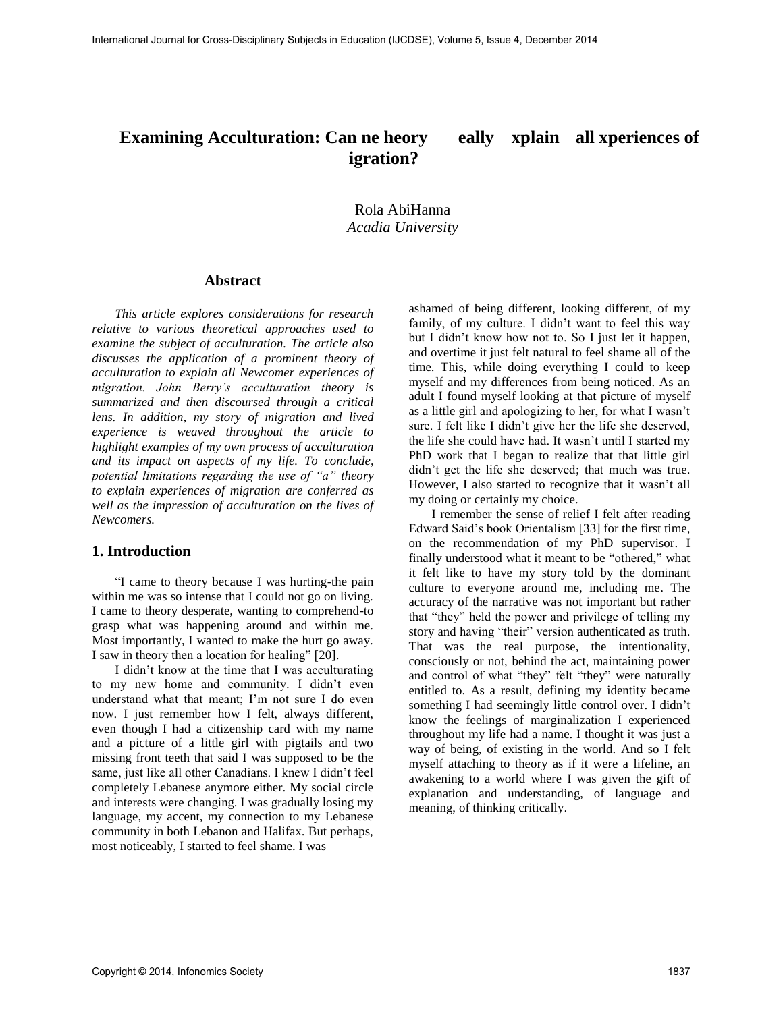# **Examining Acculturation: Can 2ne 7heory 5eally (xplain all (xperiences of <u>feration?</u>**

Rola AbiHanna *Acadia University*

#### **Abstract**

*This article explores considerations for research relative to various theoretical approaches used to examine the subject of acculturation. The article also discusses the application of a prominent theory of acculturation to explain all Newcomer experiences of migration. John Berry's acculturation theory is summarized and then discoursed through a critical lens. In addition, my story of migration and lived experience is weaved throughout the article to highlight examples of my own process of acculturation and its impact on aspects of my life. To conclude, potential limitations regarding the use of "a" theory to explain experiences of migration are conferred as well as the impression of acculturation on the lives of Newcomers.* 

#### **1. Introduction**

"I came to theory because I was hurting-the pain within me was so intense that I could not go on living. I came to theory desperate, wanting to comprehend-to grasp what was happening around and within me. Most importantly, I wanted to make the hurt go away. I saw in theory then a location for healing" [20].

I didn't know at the time that I was acculturating to my new home and community. I didn't even understand what that meant; I'm not sure I do even now. I just remember how I felt, always different, even though I had a citizenship card with my name and a picture of a little girl with pigtails and two missing front teeth that said I was supposed to be the same, just like all other Canadians. I knew I didn't feel completely Lebanese anymore either. My social circle and interests were changing. I was gradually losing my language, my accent, my connection to my Lebanese community in both Lebanon and Halifax. But perhaps, most noticeably, I started to feel shame. I was

ashamed of being different, looking different, of my family, of my culture. I didn't want to feel this way but I didn't know how not to. So I just let it happen, and overtime it just felt natural to feel shame all of the time. This, while doing everything I could to keep myself and my differences from being noticed. As an adult I found myself looking at that picture of myself as a little girl and apologizing to her, for what I wasn't sure. I felt like I didn't give her the life she deserved, the life she could have had. It wasn't until I started my PhD work that I began to realize that that little girl didn't get the life she deserved; that much was true. However, I also started to recognize that it wasn't all my doing or certainly my choice.

I remember the sense of relief I felt after reading Edward Said's book Orientalism [33] for the first time, on the recommendation of my PhD supervisor. I finally understood what it meant to be "othered," what it felt like to have my story told by the dominant culture to everyone around me, including me. The accuracy of the narrative was not important but rather that "they" held the power and privilege of telling my story and having "their" version authenticated as truth. That was the real purpose, the intentionality, consciously or not, behind the act, maintaining power and control of what "they" felt "they" were naturally entitled to. As a result, defining my identity became something I had seemingly little control over. I didn't know the feelings of marginalization I experienced throughout my life had a name. I thought it was just a way of being, of existing in the world. And so I felt myself attaching to theory as if it were a lifeline, an awakening to a world where I was given the gift of explanation and understanding, of language and meaning, of thinking critically.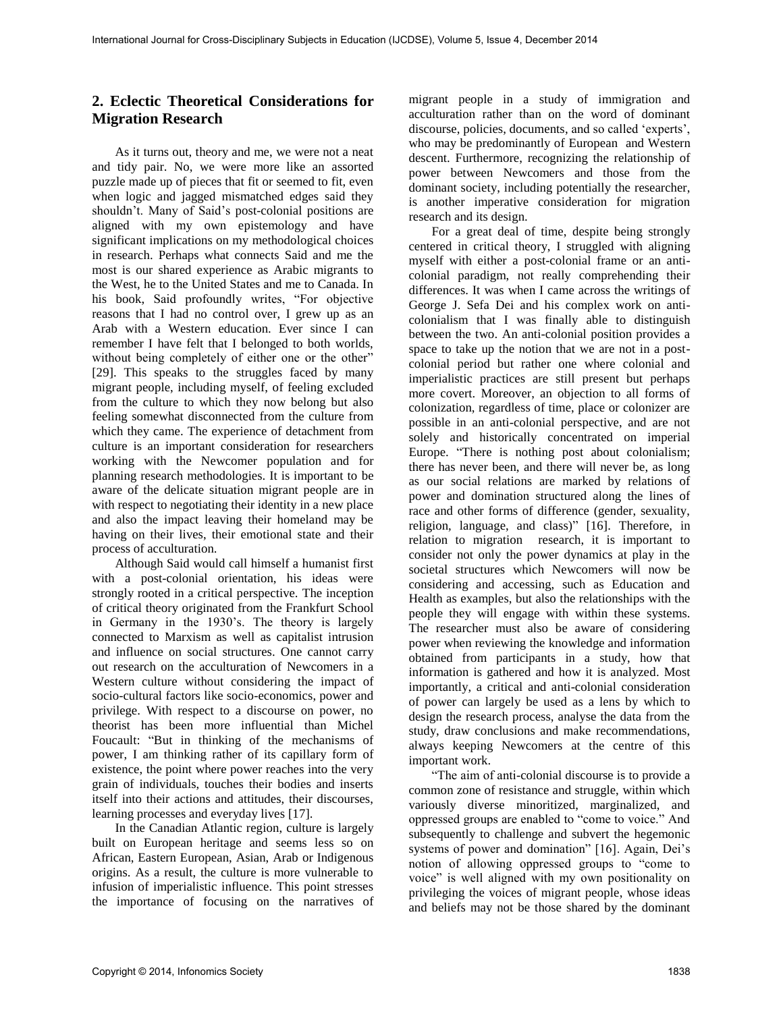### **2. Eclectic Theoretical Considerations for Migration Research**

As it turns out, theory and me, we were not a neat and tidy pair. No, we were more like an assorted puzzle made up of pieces that fit or seemed to fit, even when logic and jagged mismatched edges said they shouldn't. Many of Said's post-colonial positions are aligned with my own epistemology and have significant implications on my methodological choices in research. Perhaps what connects Said and me the most is our shared experience as Arabic migrants to the West, he to the United States and me to Canada. In his book, Said profoundly writes, "For objective reasons that I had no control over, I grew up as an Arab with a Western education. Ever since I can remember I have felt that I belonged to both worlds, without being completely of either one or the other" [29]. This speaks to the struggles faced by many migrant people, including myself, of feeling excluded from the culture to which they now belong but also feeling somewhat disconnected from the culture from which they came. The experience of detachment from culture is an important consideration for researchers working with the Newcomer population and for planning research methodologies. It is important to be aware of the delicate situation migrant people are in with respect to negotiating their identity in a new place and also the impact leaving their homeland may be having on their lives, their emotional state and their process of acculturation.

Although Said would call himself a humanist first with a post-colonial orientation, his ideas were strongly rooted in a critical perspective. The inception of critical theory originated from the Frankfurt School in Germany in the 1930's. The theory is largely connected to Marxism as well as capitalist intrusion and influence on social structures. One cannot carry out research on the acculturation of Newcomers in a Western culture without considering the impact of socio-cultural factors like socio-economics, power and privilege. With respect to a discourse on power, no theorist has been more influential than Michel Foucault: "But in thinking of the mechanisms of power, I am thinking rather of its capillary form of existence, the point where power reaches into the very grain of individuals, touches their bodies and inserts itself into their actions and attitudes, their discourses, learning processes and everyday lives [17].

In the Canadian Atlantic region, culture is largely built on European heritage and seems less so on African, Eastern European, Asian, Arab or Indigenous origins. As a result, the culture is more vulnerable to infusion of imperialistic influence. This point stresses the importance of focusing on the narratives of

migrant people in a study of immigration and acculturation rather than on the word of dominant discourse, policies, documents, and so called 'experts', who may be predominantly of European and Western descent. Furthermore, recognizing the relationship of power between Newcomers and those from the dominant society, including potentially the researcher, is another imperative consideration for migration research and its design.

For a great deal of time, despite being strongly centered in critical theory, I struggled with aligning myself with either a post-colonial frame or an anticolonial paradigm, not really comprehending their differences. It was when I came across the writings of George J. Sefa Dei and his complex work on anticolonialism that I was finally able to distinguish between the two. An anti-colonial position provides a space to take up the notion that we are not in a postcolonial period but rather one where colonial and imperialistic practices are still present but perhaps more covert. Moreover, an objection to all forms of colonization, regardless of time, place or colonizer are possible in an anti-colonial perspective, and are not solely and historically concentrated on imperial Europe. "There is nothing post about colonialism; there has never been, and there will never be, as long as our social relations are marked by relations of power and domination structured along the lines of race and other forms of difference (gender, sexuality, religion, language, and class)" [16]. Therefore, in relation to migration research, it is important to consider not only the power dynamics at play in the societal structures which Newcomers will now be considering and accessing, such as Education and Health as examples, but also the relationships with the people they will engage with within these systems. The researcher must also be aware of considering power when reviewing the knowledge and information obtained from participants in a study, how that information is gathered and how it is analyzed. Most importantly, a critical and anti-colonial consideration of power can largely be used as a lens by which to design the research process, analyse the data from the study, draw conclusions and make recommendations, always keeping Newcomers at the centre of this important work.

"The aim of anti-colonial discourse is to provide a common zone of resistance and struggle, within which variously diverse minoritized, marginalized, and oppressed groups are enabled to "come to voice." And subsequently to challenge and subvert the hegemonic systems of power and domination" [16]. Again, Dei's notion of allowing oppressed groups to "come to voice" is well aligned with my own positionality on privileging the voices of migrant people, whose ideas and beliefs may not be those shared by the dominant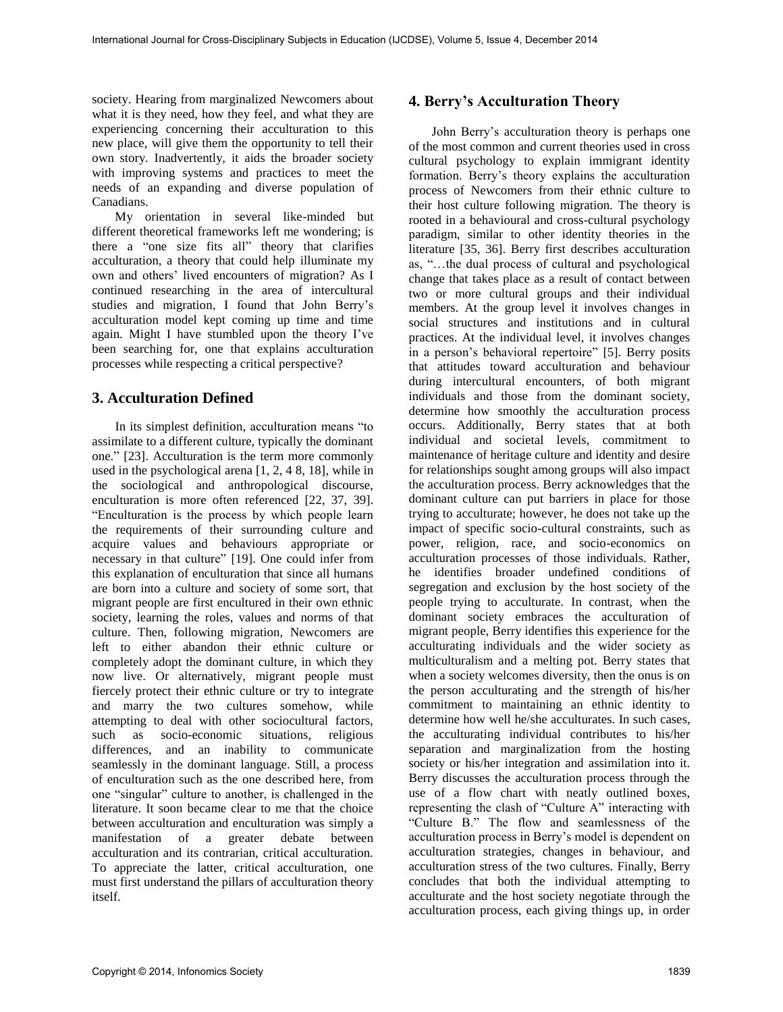society. Hearing from marginalized Newcomers about what it is they need, how they feel, and what they are experiencing concerning their acculturation to this new place, will give them the opportunity to tell their own story. Inadvertently, it aids the broader society with improving systems and practices to meet the needs of an expanding and diverse population of Canadians.

My orientation in several like-minded but different theoretical frameworks left me wondering; is there a "one size fits all" theory that clarifies acculturation, a theory that could help illuminate my own and others' lived encounters of migration? As I continued researching in the area of intercultural studies and migration, I found that John Berry's acculturation model kept coming up time and time again. Might I have stumbled upon the theory I've been searching for, one that explains acculturation processes while respecting a critical perspective?

#### **3. Acculturation Defined**

In its simplest definition, acculturation means "to assimilate to a different culture, typically the dominant one." [23]. Acculturation is the term more commonly used in the psychological arena [1, 2, 4 8, 18], while in the sociological and anthropological discourse, enculturation is more often referenced [22, 37, 39]. "Enculturation is the process by which people learn the requirements of their surrounding culture and acquire values and behaviours appropriate or necessary in that culture" [19]. One could infer from this explanation of enculturation that since all humans are born into a culture and society of some sort, that migrant people are first encultured in their own ethnic society, learning the roles, values and norms of that culture. Then, following migration, Newcomers are left to either abandon their ethnic culture or completely adopt the dominant culture, in which they now live. Or alternatively, migrant people must fiercely protect their ethnic culture or try to integrate and marry the two cultures somehow, while attempting to deal with other sociocultural factors, such as socio-economic situations, religious differences, and an inability to communicate seamlessly in the dominant language. Still, a process of enculturation such as the one described here, from one "singular" culture to another, is challenged in the literature. It soon became clear to me that the choice between acculturation and enculturation was simply a manifestation of a greater debate between acculturation and its contrarian, critical acculturation. To appreciate the latter, critical acculturation, one must first understand the pillars of acculturation theory itself.

## **4. Berry's Acculturation Theory**

John Berry's acculturation theory is perhaps one of the most common and current theories used in cross cultural psychology to explain immigrant identity formation. Berry's theory explains the acculturation process of Newcomers from their ethnic culture to their host culture following migration. The theory is rooted in a behavioural and cross-cultural psychology paradigm, similar to other identity theories in the literature [35, 36]. Berry first describes acculturation as, "…the dual process of cultural and psychological change that takes place as a result of contact between two or more cultural groups and their individual members. At the group level it involves changes in social structures and institutions and in cultural practices. At the individual level, it involves changes in a person's behavioral repertoire" [5]. Berry posits that attitudes toward acculturation and behaviour during intercultural encounters, of both migrant individuals and those from the dominant society, determine how smoothly the acculturation process occurs. Additionally, Berry states that at both individual and societal levels, commitment to maintenance of heritage culture and identity and desire for relationships sought among groups will also impact the acculturation process. Berry acknowledges that the dominant culture can put barriers in place for those trying to acculturate; however, he does not take up the impact of specific socio-cultural constraints, such as power, religion, race, and socio-economics on acculturation processes of those individuals. Rather, he identifies broader undefined conditions of segregation and exclusion by the host society of the people trying to acculturate. In contrast, when the dominant society embraces the acculturation of migrant people, Berry identifies this experience for the acculturating individuals and the wider society as multiculturalism and a melting pot. Berry states that when a society welcomes diversity, then the onus is on the person acculturating and the strength of his/her commitment to maintaining an ethnic identity to determine how well he/she acculturates. In such cases, the acculturating individual contributes to his/her separation and marginalization from the hosting society or his/her integration and assimilation into it. Berry discusses the acculturation process through the use of a flow chart with neatly outlined boxes, representing the clash of "Culture A" interacting with "Culture B." The flow and seamlessness of the acculturation process in Berry's model is dependent on acculturation strategies, changes in behaviour, and acculturation stress of the two cultures. Finally, Berry concludes that both the individual attempting to acculturate and the host society negotiate through the acculturation process, each giving things up, in order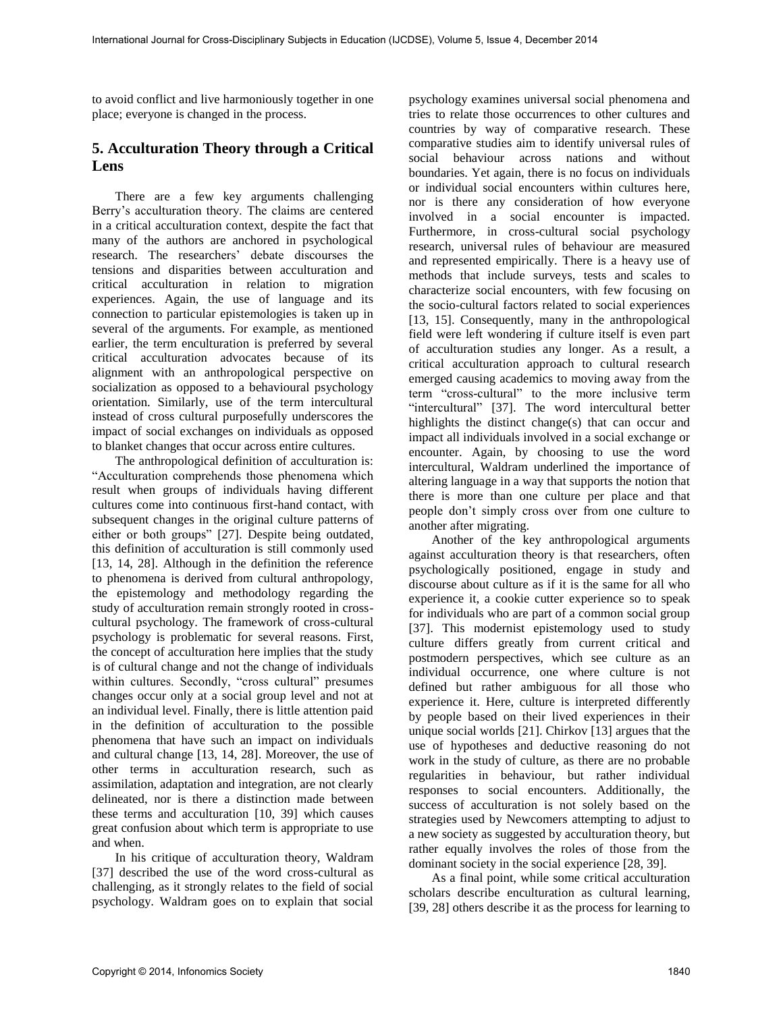to avoid conflict and live harmoniously together in one place; everyone is changed in the process.

#### **5. Acculturation Theory through a Critical Lens**

There are a few key arguments challenging Berry's acculturation theory. The claims are centered in a critical acculturation context, despite the fact that many of the authors are anchored in psychological research. The researchers' debate discourses the tensions and disparities between acculturation and critical acculturation in relation to migration experiences. Again, the use of language and its connection to particular epistemologies is taken up in several of the arguments. For example, as mentioned earlier, the term enculturation is preferred by several critical acculturation advocates because of its alignment with an anthropological perspective on socialization as opposed to a behavioural psychology orientation. Similarly, use of the term intercultural instead of cross cultural purposefully underscores the impact of social exchanges on individuals as opposed to blanket changes that occur across entire cultures.

The anthropological definition of acculturation is: "Acculturation comprehends those phenomena which result when groups of individuals having different cultures come into continuous first-hand contact, with subsequent changes in the original culture patterns of either or both groups" [27]. Despite being outdated, this definition of acculturation is still commonly used [13, 14, 28]. Although in the definition the reference to phenomena is derived from cultural anthropology, the epistemology and methodology regarding the study of acculturation remain strongly rooted in crosscultural psychology. The framework of cross-cultural psychology is problematic for several reasons. First, the concept of acculturation here implies that the study is of cultural change and not the change of individuals within cultures. Secondly, "cross cultural" presumes changes occur only at a social group level and not at an individual level. Finally, there is little attention paid in the definition of acculturation to the possible phenomena that have such an impact on individuals and cultural change [13, 14, 28]. Moreover, the use of other terms in acculturation research, such as assimilation, adaptation and integration, are not clearly delineated, nor is there a distinction made between these terms and acculturation [10, 39] which causes great confusion about which term is appropriate to use and when.

In his critique of acculturation theory, Waldram [37] described the use of the word cross-cultural as challenging, as it strongly relates to the field of social psychology. Waldram goes on to explain that social

psychology examines universal social phenomena and tries to relate those occurrences to other cultures and countries by way of comparative research. These comparative studies aim to identify universal rules of social behaviour across nations and without boundaries. Yet again, there is no focus on individuals or individual social encounters within cultures here, nor is there any consideration of how everyone involved in a social encounter is impacted. Furthermore, in cross-cultural social psychology research, universal rules of behaviour are measured and represented empirically. There is a heavy use of methods that include surveys, tests and scales to characterize social encounters, with few focusing on the socio-cultural factors related to social experiences [13, 15]. Consequently, many in the anthropological field were left wondering if culture itself is even part of acculturation studies any longer. As a result, a critical acculturation approach to cultural research emerged causing academics to moving away from the term "cross-cultural" to the more inclusive term "intercultural" [37]. The word intercultural better highlights the distinct change(s) that can occur and impact all individuals involved in a social exchange or encounter. Again, by choosing to use the word intercultural, Waldram underlined the importance of altering language in a way that supports the notion that there is more than one culture per place and that people don't simply cross over from one culture to another after migrating.

Another of the key anthropological arguments against acculturation theory is that researchers, often psychologically positioned, engage in study and discourse about culture as if it is the same for all who experience it, a cookie cutter experience so to speak for individuals who are part of a common social group [37]. This modernist epistemology used to study culture differs greatly from current critical and postmodern perspectives, which see culture as an individual occurrence, one where culture is not defined but rather ambiguous for all those who experience it. Here, culture is interpreted differently by people based on their lived experiences in their unique social worlds [21]. Chirkov [13] argues that the use of hypotheses and deductive reasoning do not work in the study of culture, as there are no probable regularities in behaviour, but rather individual responses to social encounters. Additionally, the success of acculturation is not solely based on the strategies used by Newcomers attempting to adjust to a new society as suggested by acculturation theory, but rather equally involves the roles of those from the dominant society in the social experience [28, 39].

As a final point, while some critical acculturation scholars describe enculturation as cultural learning, [39, 28] others describe it as the process for learning to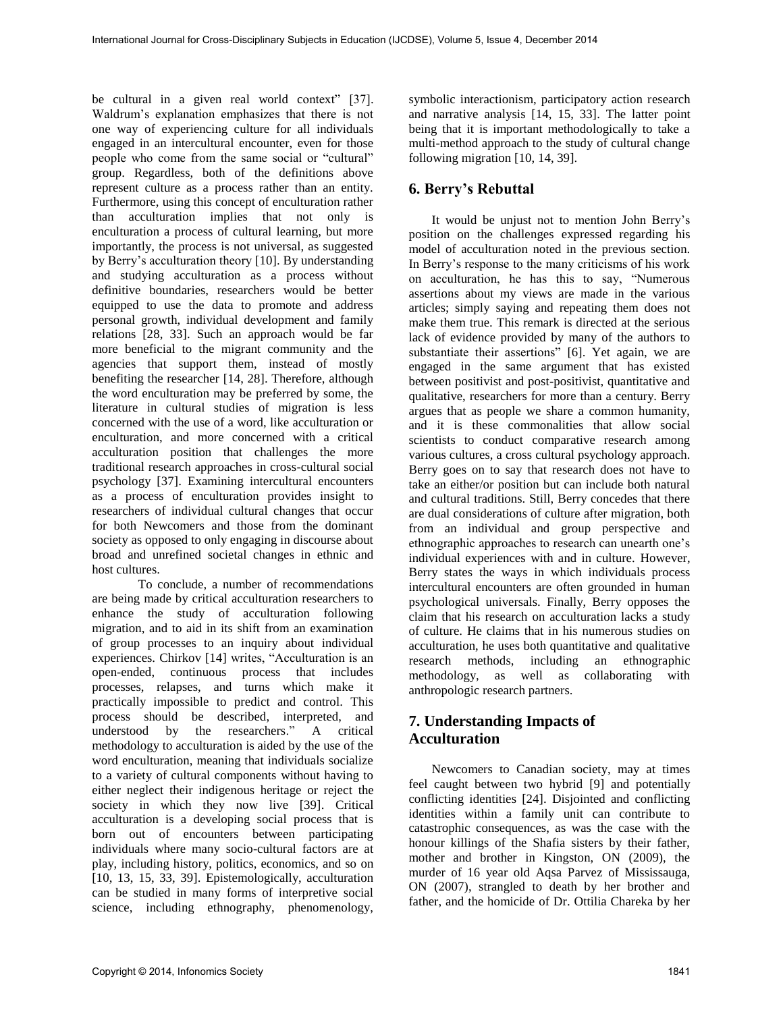be cultural in a given real world context" [37]. Waldrum's explanation emphasizes that there is not one way of experiencing culture for all individuals engaged in an intercultural encounter, even for those people who come from the same social or "cultural" group. Regardless, both of the definitions above represent culture as a process rather than an entity. Furthermore, using this concept of enculturation rather than acculturation implies that not only is enculturation a process of cultural learning, but more importantly, the process is not universal, as suggested by Berry's acculturation theory [10]. By understanding and studying acculturation as a process without definitive boundaries, researchers would be better equipped to use the data to promote and address personal growth, individual development and family relations [28, 33]. Such an approach would be far more beneficial to the migrant community and the agencies that support them, instead of mostly benefiting the researcher [14, 28]. Therefore, although the word enculturation may be preferred by some, the literature in cultural studies of migration is less concerned with the use of a word, like acculturation or enculturation, and more concerned with a critical acculturation position that challenges the more traditional research approaches in cross-cultural social psychology [37]. Examining intercultural encounters as a process of enculturation provides insight to researchers of individual cultural changes that occur for both Newcomers and those from the dominant society as opposed to only engaging in discourse about broad and unrefined societal changes in ethnic and host cultures.

 To conclude, a number of recommendations are being made by critical acculturation researchers to enhance the study of acculturation following migration, and to aid in its shift from an examination of group processes to an inquiry about individual experiences. Chirkov [14] writes, "Acculturation is an open-ended, continuous process that includes processes, relapses, and turns which make it practically impossible to predict and control. This process should be described, interpreted, and understood by the researchers." A critical methodology to acculturation is aided by the use of the word enculturation, meaning that individuals socialize to a variety of cultural components without having to either neglect their indigenous heritage or reject the society in which they now live [39]. Critical acculturation is a developing social process that is born out of encounters between participating individuals where many socio-cultural factors are at play, including history, politics, economics, and so on [10, 13, 15, 33, 39]. Epistemologically, acculturation can be studied in many forms of interpretive social science, including ethnography, phenomenology,

symbolic interactionism, participatory action research and narrative analysis [14, 15, 33]. The latter point being that it is important methodologically to take a multi-method approach to the study of cultural change following migration [10, 14, 39].

## **6. Berry's Rebuttal**

It would be unjust not to mention John Berry's position on the challenges expressed regarding his model of acculturation noted in the previous section. In Berry's response to the many criticisms of his work on acculturation, he has this to say, "Numerous assertions about my views are made in the various articles; simply saying and repeating them does not make them true. This remark is directed at the serious lack of evidence provided by many of the authors to substantiate their assertions" [6]. Yet again, we are engaged in the same argument that has existed between positivist and post-positivist, quantitative and qualitative, researchers for more than a century. Berry argues that as people we share a common humanity, and it is these commonalities that allow social scientists to conduct comparative research among various cultures, a cross cultural psychology approach. Berry goes on to say that research does not have to take an either/or position but can include both natural and cultural traditions. Still, Berry concedes that there are dual considerations of culture after migration, both from an individual and group perspective and ethnographic approaches to research can unearth one's individual experiences with and in culture. However, Berry states the ways in which individuals process intercultural encounters are often grounded in human psychological universals. Finally, Berry opposes the claim that his research on acculturation lacks a study of culture. He claims that in his numerous studies on acculturation, he uses both quantitative and qualitative research methods, including an ethnographic methodology, as well as collaborating with anthropologic research partners.

## **7. Understanding Impacts of Acculturation**

Newcomers to Canadian society, may at times feel caught between two hybrid [9] and potentially conflicting identities [24]. Disjointed and conflicting identities within a family unit can contribute to catastrophic consequences, as was the case with the honour killings of the Shafia sisters by their father, mother and brother in Kingston, ON (2009), the murder of 16 year old Aqsa Parvez of Mississauga, ON (2007), strangled to death by her brother and father, and the homicide of Dr. Ottilia Chareka by her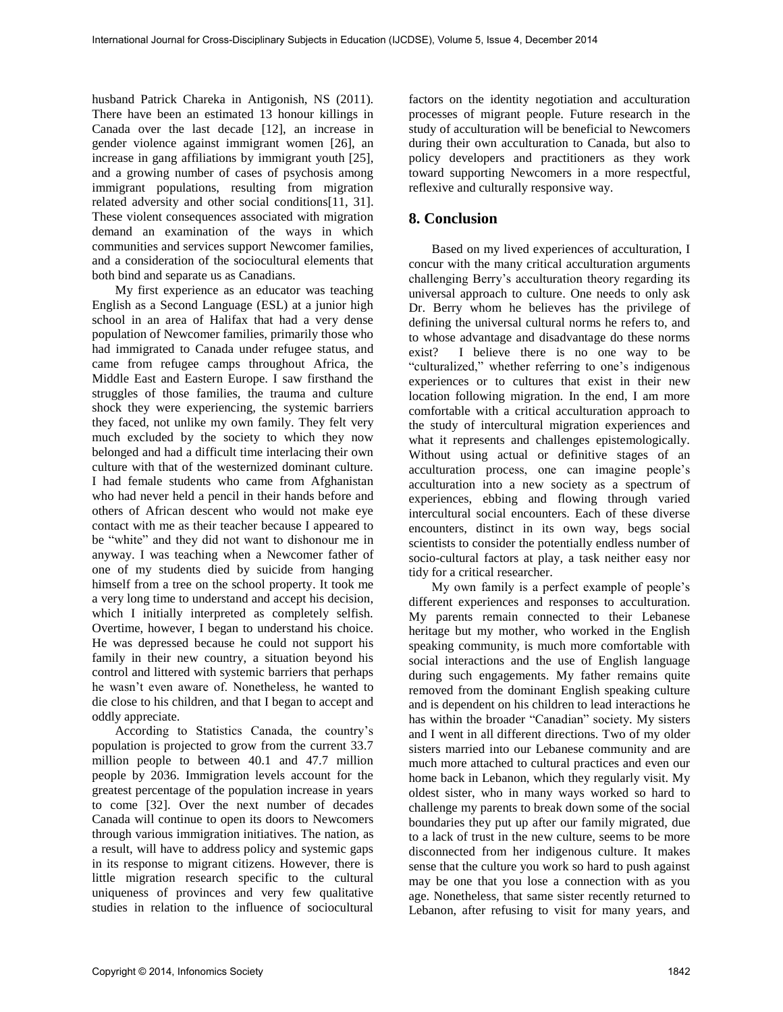husband Patrick Chareka in Antigonish, NS (2011). There have been an estimated 13 honour killings in Canada over the last decade [12], an increase in gender violence against immigrant women [26], an increase in gang affiliations by immigrant youth [25], and a growing number of cases of psychosis among immigrant populations, resulting from migration related adversity and other social conditions[11, 31]. These violent consequences associated with migration demand an examination of the ways in which communities and services support Newcomer families, and a consideration of the sociocultural elements that both bind and separate us as Canadians.

My first experience as an educator was teaching English as a Second Language (ESL) at a junior high school in an area of Halifax that had a very dense population of Newcomer families, primarily those who had immigrated to Canada under refugee status, and came from refugee camps throughout Africa, the Middle East and Eastern Europe. I saw firsthand the struggles of those families, the trauma and culture shock they were experiencing, the systemic barriers they faced, not unlike my own family. They felt very much excluded by the society to which they now belonged and had a difficult time interlacing their own culture with that of the westernized dominant culture. I had female students who came from Afghanistan who had never held a pencil in their hands before and others of African descent who would not make eye contact with me as their teacher because I appeared to be "white" and they did not want to dishonour me in anyway. I was teaching when a Newcomer father of one of my students died by suicide from hanging himself from a tree on the school property. It took me a very long time to understand and accept his decision, which I initially interpreted as completely selfish. Overtime, however, I began to understand his choice. He was depressed because he could not support his family in their new country, a situation beyond his control and littered with systemic barriers that perhaps he wasn't even aware of. Nonetheless, he wanted to die close to his children, and that I began to accept and oddly appreciate.

According to Statistics Canada, the country's population is projected to grow from the current 33.7 million people to between 40.1 and 47.7 million people by 2036. Immigration levels account for the greatest percentage of the population increase in years to come [32]. Over the next number of decades Canada will continue to open its doors to Newcomers through various immigration initiatives. The nation, as a result, will have to address policy and systemic gaps in its response to migrant citizens. However, there is little migration research specific to the cultural uniqueness of provinces and very few qualitative studies in relation to the influence of sociocultural

factors on the identity negotiation and acculturation processes of migrant people. Future research in the study of acculturation will be beneficial to Newcomers during their own acculturation to Canada, but also to policy developers and practitioners as they work toward supporting Newcomers in a more respectful, reflexive and culturally responsive way.

#### **8. Conclusion**

Based on my lived experiences of acculturation, I concur with the many critical acculturation arguments challenging Berry's acculturation theory regarding its universal approach to culture. One needs to only ask Dr. Berry whom he believes has the privilege of defining the universal cultural norms he refers to, and to whose advantage and disadvantage do these norms exist? I believe there is no one way to be "culturalized," whether referring to one's indigenous experiences or to cultures that exist in their new location following migration. In the end, I am more comfortable with a critical acculturation approach to the study of intercultural migration experiences and what it represents and challenges epistemologically. Without using actual or definitive stages of an acculturation process, one can imagine people's acculturation into a new society as a spectrum of experiences, ebbing and flowing through varied intercultural social encounters. Each of these diverse encounters, distinct in its own way, begs social scientists to consider the potentially endless number of socio-cultural factors at play, a task neither easy nor tidy for a critical researcher.

My own family is a perfect example of people's different experiences and responses to acculturation. My parents remain connected to their Lebanese heritage but my mother, who worked in the English speaking community, is much more comfortable with social interactions and the use of English language during such engagements. My father remains quite removed from the dominant English speaking culture and is dependent on his children to lead interactions he has within the broader "Canadian" society. My sisters and I went in all different directions. Two of my older sisters married into our Lebanese community and are much more attached to cultural practices and even our home back in Lebanon, which they regularly visit. My oldest sister, who in many ways worked so hard to challenge my parents to break down some of the social boundaries they put up after our family migrated, due to a lack of trust in the new culture, seems to be more disconnected from her indigenous culture. It makes sense that the culture you work so hard to push against may be one that you lose a connection with as you age. Nonetheless, that same sister recently returned to Lebanon, after refusing to visit for many years, and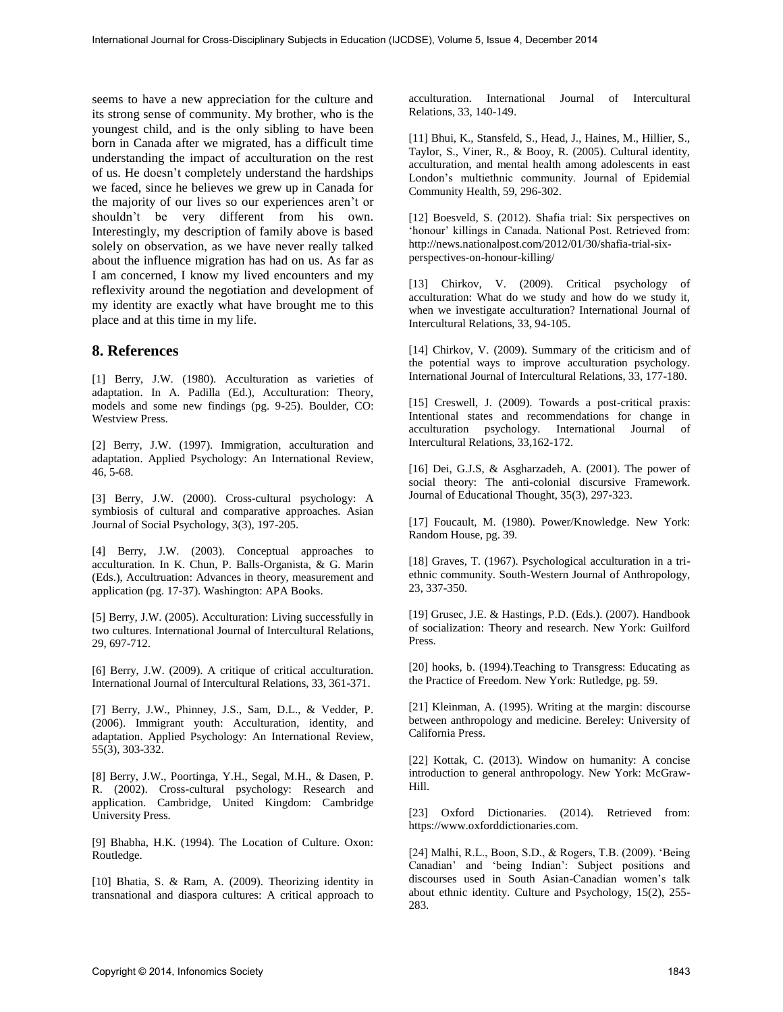seems to have a new appreciation for the culture and its strong sense of community. My brother, who is the youngest child, and is the only sibling to have been born in Canada after we migrated, has a difficult time understanding the impact of acculturation on the rest of us. He doesn't completely understand the hardships we faced, since he believes we grew up in Canada for the majority of our lives so our experiences aren't or shouldn't be very different from his own. Interestingly, my description of family above is based solely on observation, as we have never really talked about the influence migration has had on us. As far as I am concerned, I know my lived encounters and my reflexivity around the negotiation and development of my identity are exactly what have brought me to this place and at this time in my life.

#### **8. References**

[1] Berry, J.W. (1980). Acculturation as varieties of adaptation. In A. Padilla (Ed.), Acculturation: Theory, models and some new findings (pg. 9-25). Boulder, CO: Westview Press.

[2] Berry, J.W. (1997). Immigration, acculturation and adaptation. Applied Psychology: An International Review, 46, 5-68.

[3] Berry, J.W. (2000). Cross-cultural psychology: A symbiosis of cultural and comparative approaches. Asian Journal of Social Psychology, 3(3), 197-205.

[4] Berry, J.W. (2003). Conceptual approaches to acculturation. In K. Chun, P. Balls-Organista, & G. Marin (Eds.), Accultruation: Advances in theory, measurement and application (pg. 17-37). Washington: APA Books.

[5] Berry, J.W. (2005). Acculturation: Living successfully in two cultures. International Journal of Intercultural Relations, 29, 697-712.

[6] Berry, J.W. (2009). A critique of critical acculturation. International Journal of Intercultural Relations, 33, 361-371.

[7] Berry, J.W., Phinney, J.S., Sam, D.L., & Vedder, P. (2006). Immigrant youth: Acculturation, identity, and adaptation. Applied Psychology: An International Review, 55(3), 303-332.

[8] Berry, J.W., Poortinga, Y.H., Segal, M.H., & Dasen, P. R. (2002). Cross-cultural psychology: Research and application. Cambridge, United Kingdom: Cambridge University Press.

[9] Bhabha, H.K. (1994). The Location of Culture. Oxon: Routledge.

[10] Bhatia, S. & Ram, A. (2009). Theorizing identity in transnational and diaspora cultures: A critical approach to

acculturation. International Journal of Intercultural Relations, 33, 140-149.

[11] Bhui, K., Stansfeld, S., Head, J., Haines, M., Hillier, S., Taylor, S., Viner, R., & Booy, R. (2005). Cultural identity, acculturation, and mental health among adolescents in east London's multiethnic community. Journal of Epidemial Community Health, 59, 296-302.

[12] Boesveld, S. (2012). Shafia trial: Six perspectives on 'honour' killings in Canada. National Post. Retrieved from: http://news.nationalpost.com/2012/01/30/shafia-trial-sixperspectives-on-honour-killing/

[13] Chirkov, V. (2009). Critical psychology of acculturation: What do we study and how do we study it, when we investigate acculturation? International Journal of Intercultural Relations, 33, 94-105.

[14] Chirkov, V. (2009). Summary of the criticism and of the potential ways to improve acculturation psychology. International Journal of Intercultural Relations, 33, 177-180.

[15] Creswell, J. (2009). Towards a post-critical praxis: Intentional states and recommendations for change in acculturation psychology. International Journal of Intercultural Relations, 33,162-172.

[16] Dei, G.J.S, & Asgharzadeh, A. (2001). The power of social theory: The anti-colonial discursive Framework. Journal of Educational Thought, 35(3), 297-323.

[17] Foucault, M. (1980). Power/Knowledge. New York: Random House, pg. 39.

[18] Graves, T. (1967). Psychological acculturation in a triethnic community. South-Western Journal of Anthropology, 23, 337-350.

[19] Grusec, J.E. & Hastings, P.D. (Eds.). (2007). Handbook of socialization: Theory and research. New York: Guilford Press.

[20] hooks, b. (1994).Teaching to Transgress: Educating as the Practice of Freedom. New York: Rutledge, pg. 59.

[21] Kleinman, A. (1995). Writing at the margin: discourse between anthropology and medicine. Bereley: University of California Press.

[22] Kottak, C. (2013). Window on humanity: A concise introduction to general anthropology. New York: McGraw-Hill.

[23] Oxford Dictionaries. (2014). Retrieved from: https://www.oxforddictionaries.com.

[24] Malhi, R.L., Boon, S.D., & Rogers, T.B. (2009). 'Being Canadian' and 'being Indian': Subject positions and discourses used in South Asian-Canadian women's talk about ethnic identity. Culture and Psychology, 15(2), 255- 283.